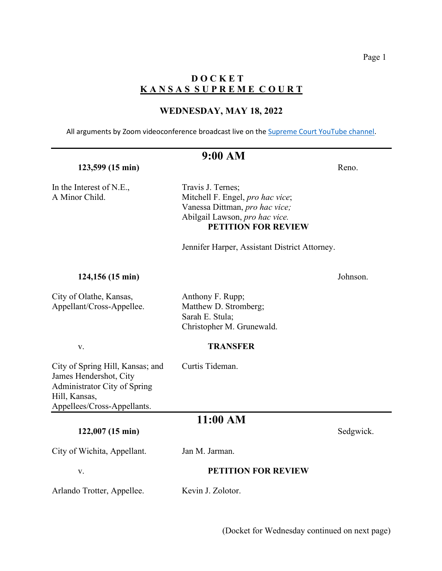# **D O C K E T K A N S A S S U P R E M E C O U R T**

# **WEDNESDAY, MAY 18, 2022**

All arguments by Zoom videoconference broadcast live on th[e Supreme Court YouTube channel.](https://www.youtube.com/channel/UC1pXIOdkwjkdiLnpXj4Wp8w/live)

# **9:00 AM**

### **123,599** (15 min) Reno.

In the Interest of N.E., Travis J. Ternes;

A Minor Child. Mitchell F. Engel, *pro hac vice*; Vanessa Dittman, *pro hac vice;* Abilgail Lawson, *pro hac vice.* **PETITION FOR REVIEW**

Jennifer Harper, Assistant District Attorney.

#### **124,156 (15 min)** Johnson.

City of Olathe, Kansas, Anthony F. Rupp; Appellant/Cross-Appellee. Matthew D. Stromberg;

 Sarah E. Stula; Christopher M. Grunewald.

## v. **TRANSFER**

City of Spring Hill, Kansas; and Curtis Tideman. James Hendershot, City Administrator City of Spring Hill, Kansas, Appellees/Cross-Appellants.

# **11:00 AM**

## **122,007 (15 min)** Sedgwick.

City of Wichita, Appellant. Jan M. Jarman.

#### v. **PETITION FOR REVIEW**

Arlando Trotter, Appellee. Kevin J. Zolotor.

(Docket for Wednesday continued on next page)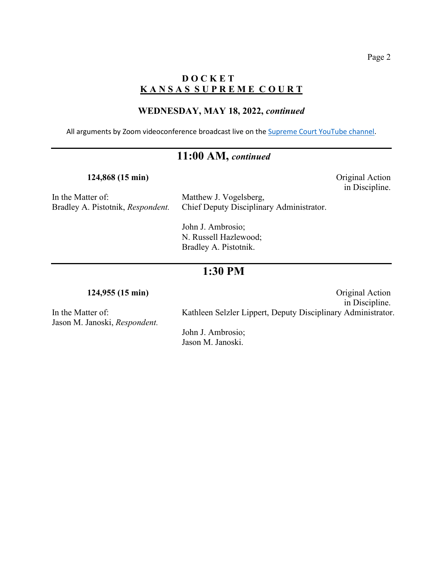in Discipline.

# **D O C K E T K A N S A S S U P R E M E C O U R T**

### **WEDNESDAY, MAY 18, 2022,** *continued*

All arguments by Zoom videoconference broadcast live on the [Supreme Court YouTube channel.](https://www.youtube.com/channel/UC1pXIOdkwjkdiLnpXj4Wp8w/live)

# **11:00 AM,** *continued*

**124,868 (15 min)** Original Action

In the Matter of: Matthew J. Vogelsberg,

Bradley A. Pistotnik, *Respondent.* Chief Deputy Disciplinary Administrator.

John J. Ambrosio; N. Russell Hazlewood; Bradley A. Pistotnik.

# **1:30 PM**

Jason M. Janoski, *Respondent.*

**124,955 (15 min)** Original Action in Discipline. In the Matter of: Kathleen Selzler Lippert, Deputy Disciplinary Administrator.

> John J. Ambrosio; Jason M. Janoski.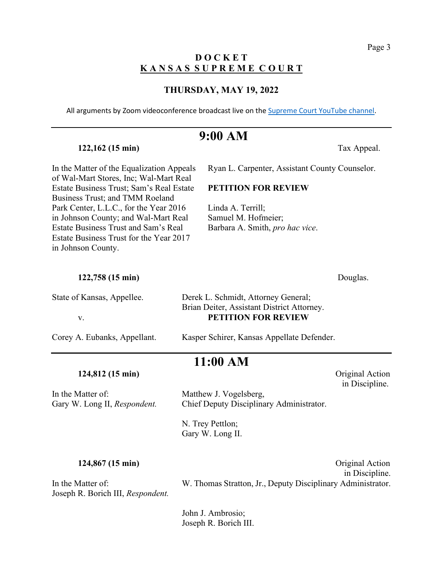# **D O C K E T K A N S A S S U P R E M E C O U R T**

#### **THURSDAY, MAY 19, 2022**

All arguments by Zoom videoconference broadcast live on the [Supreme Court YouTube channel.](https://www.youtube.com/channel/UC1pXIOdkwjkdiLnpXj4Wp8w/live)

# **9:00 AM**

**122,162 (15 min)** Tax Appeal.

of Wal-Mart Stores, Inc; Wal-Mart Real Estate Business Trust; Sam's Real Estate **PETITION FOR REVIEW** Business Trust; and TMM Roeland Park Center, L.L.C., for the Year 2016 Linda A. Terrill; in Johnson County; and Wal-Mart Real Samuel M. Hofmeier; Estate Business Trust and Sam's Real Barbara A. Smith, *pro hac vice*. Estate Business Trust for the Year 2017 in Johnson County.

In the Matter of the Equalization Appeals Ryan L. Carpenter, Assistant County Counselor.

| 122,758 (15 min)           |                                            |
|----------------------------|--------------------------------------------|
| State of Kansas, Appellee. | Derek L. Schmidt, Attorney General;        |
|                            | Brian Deiter, Assistant District Attorney. |

v. **PETITION FOR REVIEW**

Corey A. Eubanks, Appellant. Kasper Schirer, Kansas Appellate Defender.

In the Matter of: Matthew J. Vogelsberg,

Gary W. Long II, *Respondent.* Chief Deputy Disciplinary Administrator.

N. Trey Pettlon; Gary W. Long II.

**11:00 AM**

Joseph R. Borich III, *Respondent.*

**124,867 (15 min)** Original Action in Discipline. In the Matter of: W. Thomas Stratton, Jr., Deputy Disciplinary Administrator.

> John J. Ambrosio; Joseph R. Borich III.

Douglas.

**124,812 (15 min)** Original Action in Discipline.